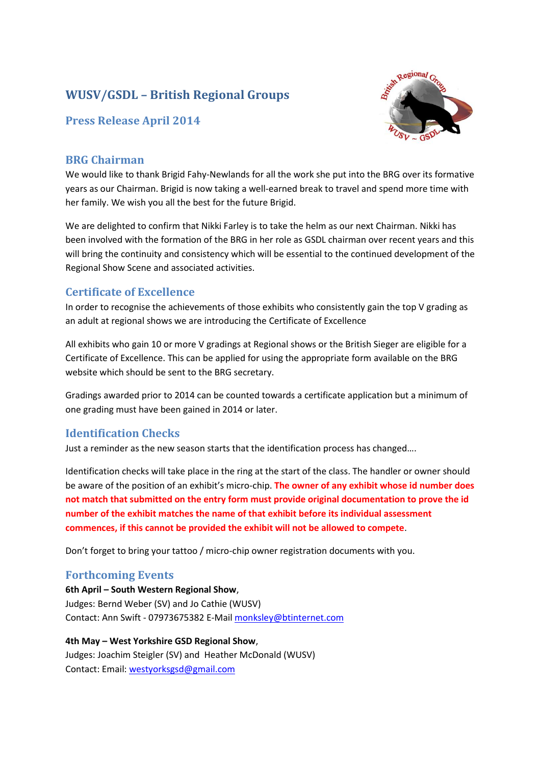# **WUSV/GSDL – British Regional Groups**

# **Press Release April 2014**



### **BRG Chairman**

We would like to thank Brigid Fahy-Newlands for all the work she put into the BRG over its formative years as our Chairman. Brigid is now taking a well-earned break to travel and spend more time with her family. We wish you all the best for the future Brigid.

We are delighted to confirm that Nikki Farley is to take the helm as our next Chairman. Nikki has been involved with the formation of the BRG in her role as GSDL chairman over recent years and this will bring the continuity and consistency which will be essential to the continued development of the Regional Show Scene and associated activities.

# **Certificate of Excellence**

In order to recognise the achievements of those exhibits who consistently gain the top V grading as an adult at regional shows we are introducing the Certificate of Excellence

All exhibits who gain 10 or more V gradings at Regional shows or the British Sieger are eligible for a Certificate of Excellence. This can be applied for using the appropriate form available on the BRG website which should be sent to the BRG secretary.

Gradings awarded prior to 2014 can be counted towards a certificate application but a minimum of one grading must have been gained in 2014 or later.

# **Identification Checks**

Just a reminder as the new season starts that the identification process has changed….

Identification checks will take place in the ring at the start of the class. The handler or owner should be aware of the position of an exhibit's micro-chip. **The owner of any exhibit whose id number does not match that submitted on the entry form must provide original documentation to prove the id number of the exhibit matches the name of that exhibit before its individual assessment commences, if this cannot be provided the exhibit will not be allowed to compete**.

Don't forget to bring your tattoo / micro-chip owner registration documents with you.

# **Forthcoming Events**

**6th April – South Western Regional Show**, Judges: Bernd Weber (SV) and Jo Cathie (WUSV) Contact: Ann Swift - 07973675382 E-Mail [monksley@btinternet.com](mailto:monksley@btinternet.com)

**4th May – West Yorkshire GSD Regional Show**, Judges: Joachim Steigler (SV) and Heather McDonald (WUSV) Contact: Email: [westyorksgsd@gmail.com](mailto:westyorksgsd@gmail.com)